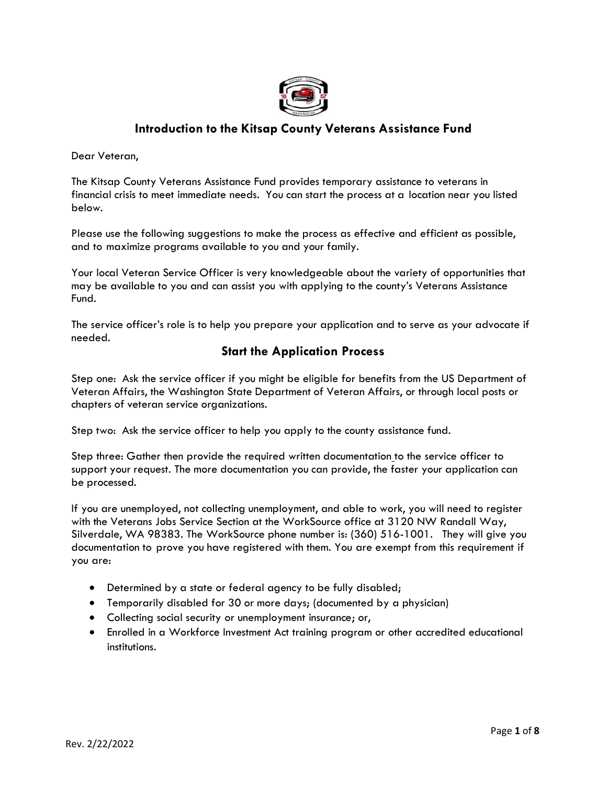

## **Introduction to the Kitsap County Veterans Assistance Fund**

Dear Veteran,

The Kitsap County Veterans Assistance Fund provides temporary assistance to veterans in financial crisis to meet immediate needs. You can start the process at a location near you listed below.

Please use the following suggestions to make the process as effective and efficient as possible, and to maximize programs available to you and your family.

Your local Veteran Service Officer is very knowledgeable about the variety of opportunities that may be available to you and can assist you with applying to the county's Veterans Assistance Fund.

The service officer's role is to help you prepare your application and to serve as your advocate if needed.

### **Start the Application Process**

Step one: Ask the service officer if you might be eligible for benefits from the US Department of Veteran Affairs, the Washington State Department of Veteran Affairs, or through local posts or chapters of veteran service organizations.

Step two: Ask the service officer to help you apply to the county assistance fund.

Step three: Gather then provide the required written documentation to the service officer to support your request. The more documentation you can provide, the faster your application can be processed.

If you are unemployed, not collecting unemployment, and able to work, you will need to register with the Veterans Jobs Service Section at the WorkSource office at 3120 NW Randall Way, Silverdale, WA 98383. The WorkSource phone number is: (360) 516-1001. They will give you documentation to prove you have registered with them. You are exempt from this requirement if you are:

- Determined by a state or federal agency to be fully disabled;
- Temporarily disabled for 30 or more days; (documented by a physician)
- Collecting social security or unemployment insurance; or,
- Enrolled in a Workforce Investment Act training program or other accredited educational institutions.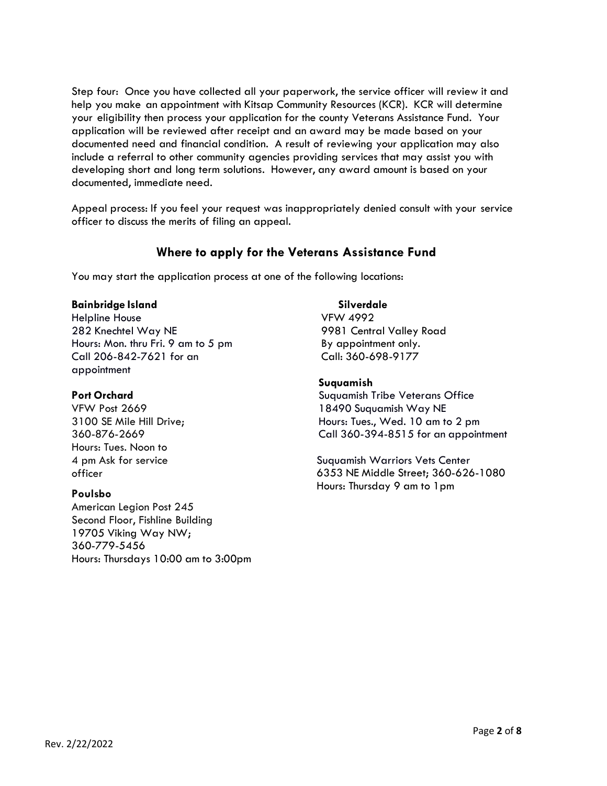Step four: Once you have collected all your paperwork, the service officer will review it and help you make an appointment with Kitsap Community Resources (KCR). KCR will determine your eligibility then process your application for the county Veterans Assistance Fund. Your application will be reviewed after receipt and an award may be made based on your documented need and financial condition. A result of reviewing your application may also include a referral to other community agencies providing services that may assist you with developing short and long term solutions. However, any award amount is based on your documented, immediate need.

Appeal process: If you feel your request was inappropriately denied consult with your service officer to discuss the merits of filing an appeal.

### **Where to apply for the Veterans Assistance Fund**

You may start the application process at one of the following locations:

#### **Bainbridge Island**

Helpline House 282 Knechtel Way NE Hours: Mon. thru Fri. 9 am to 5 pm Call 206-842-7621 for an appointment

### **Port Orchard**

VFW Post 2669 3100 SE Mile Hill Drive; 360-876-2669 Hours: Tues. Noon to 4 pm Ask for service officer

### **Poulsbo**

American Legion Post 245 Second Floor, Fishline Building 19705 Viking Way NW; 360-779-5456 Hours: Thursdays 10:00 am to 3:00pm

#### **Silverdale**

VFW 4992 9981 Central Valley Road By appointment only. Call: 360-698-9177

### **Suquamish**

Suquamish Tribe Veterans Office 18490 Suquamish Way NE Hours: Tues., Wed. 10 am to 2 pm Call 360-394-8515 for an appointment

Suquamish Warriors Vets Center 6353 NE Middle Street; 360-626-1080 Hours: Thursday 9 am to 1pm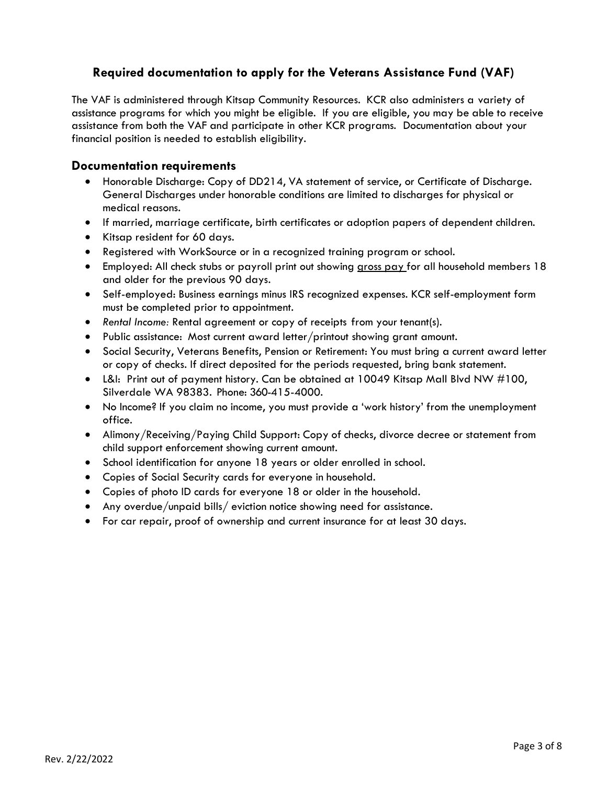## **Required documentation to apply for the Veterans Assistance Fund (VAF)**

The VAF is administered through Kitsap Community Resources. KCR also administers a variety of assistance programs for which you might be eligible. If you are eligible, you may be able to receive assistance from both the VAF and participate in other KCR programs. Documentation about your financial position is needed to establish eligibility.

### **Documentation requirements**

- Honorable Discharge: Copy of DD214, VA statement of service, or Certificate of Discharge. General Discharges under honorable conditions are limited to discharges for physical or medical reasons.
- If married, marriage certificate, birth certificates or adoption papers of dependent children.
- Kitsap resident for 60 days.
- Registered with WorkSource or in a recognized training program or school.
- Employed: All check stubs or payroll print out showing gross pay for all household members 18 and older for the previous 90 days.
- Self-employed: Business earnings minus IRS recognized expenses. KCR self-employment form must be completed prior to appointment.
- *Rental Income:* Rental agreement or copy of receipts from your tenant(s).
- Public assistance: Most current award letter/printout showing grant amount.
- Social Security, Veterans Benefits, Pension or Retirement: You must bring a current award letter or copy of checks. If direct deposited for the periods requested, bring bank statement.
- L&I: Print out of payment history. Can be obtained at 10049 Kitsap Mall Blvd NW #100, Silverdale WA 98383. Phone: 360-415-4000.
- No Income? If you claim no income, you must provide a 'work history' from the unemployment office.
- Alimony/Receiving/Paying Child Support: Copy of checks, divorce decree or statement from child support enforcement showing current amount.
- School identification for anyone 18 years or older enrolled in school.
- Copies of Social Security cards for everyone in household.
- Copies of photo ID cards for everyone 18 or older in the household.
- Any overdue/unpaid bills/ eviction notice showing need for assistance.
- For car repair, proof of ownership and current insurance for at least 30 days.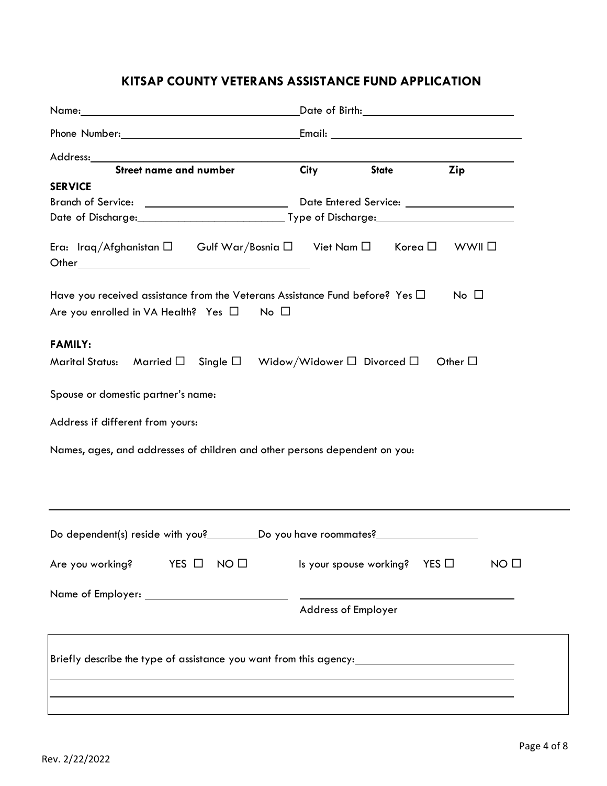# **KITSAP COUNTY VETERANS ASSISTANCE FUND APPLICATION**

| Address:                                                                                                                                       |                            |                                            |                 |
|------------------------------------------------------------------------------------------------------------------------------------------------|----------------------------|--------------------------------------------|-----------------|
| <b>Street name and number</b>                                                                                                                  | City                       | <b>State</b>                               | Zip             |
| <b>SERVICE</b>                                                                                                                                 |                            |                                            |                 |
|                                                                                                                                                |                            |                                            |                 |
|                                                                                                                                                |                            |                                            |                 |
| Era: Iraq/Afghanistan $\square$ Gulf War/Bosnia $\square$ Viet Nam $\square$                                                                   |                            | Korea $\square$                            | WWII □          |
| Have you received assistance from the Veterans Assistance Fund before? Yes $\Box$<br>Are you enrolled in VA Health? Yes $\square$ No $\square$ |                            |                                            | $No$ $\Box$     |
| <b>FAMILY:</b>                                                                                                                                 |                            |                                            |                 |
| Marital Status: Married $\square$ Single $\square$ Widow/Widower $\square$ Divorced $\square$                                                  |                            |                                            | Other $\square$ |
| Spouse or domestic partner's name:                                                                                                             |                            |                                            |                 |
| Address if different from yours:                                                                                                               |                            |                                            |                 |
| Names, ages, and addresses of children and other persons dependent on you:                                                                     |                            |                                            |                 |
| Do dependent(s) reside with you?___________________Do you have roommates?                                                                      |                            |                                            |                 |
| Are you working?<br>$YES$ $\square$<br>NO <sub>0</sub>                                                                                         |                            | Is your spouse working?<br>$YES$ $\square$ | NO <sub>0</sub> |
|                                                                                                                                                |                            |                                            |                 |
|                                                                                                                                                | <b>Address of Employer</b> |                                            |                 |
| Briefly describe the type of assistance you want from this agency:_______________                                                              |                            |                                            |                 |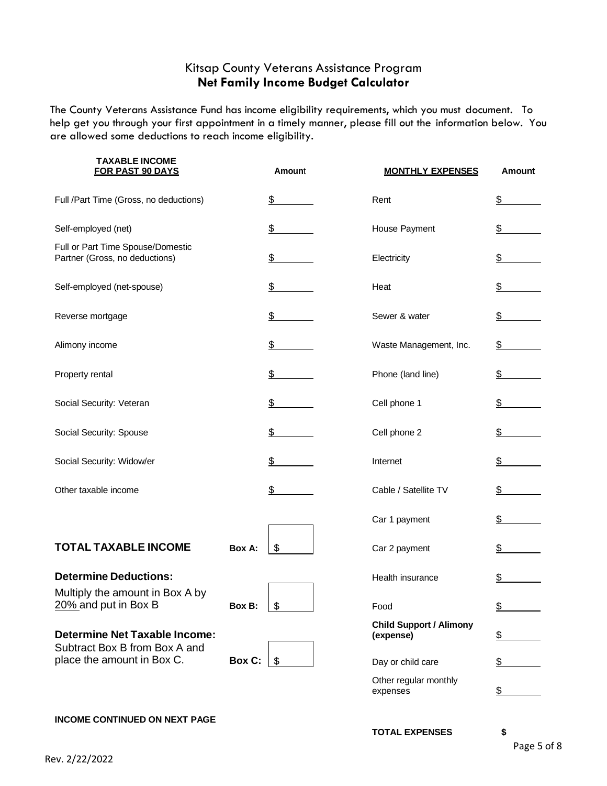## Kitsap County Veterans Assistance Program **Net Family Income Budget Calculator**

The County Veterans Assistance Fund has income eligibility requirements, which you must document. To help get you through your first appointment in a timely manner, please fill out the information below. You are allowed some deductions to reach income eligibility.

| <b>TAXABLE INCOME</b><br><b>FOR PAST 90 DAYS</b>                                                    |        | <b>Amount</b>             | <b>MONTHLY EXPENSES</b>                     | <b>Amount</b> |
|-----------------------------------------------------------------------------------------------------|--------|---------------------------|---------------------------------------------|---------------|
| Full /Part Time (Gross, no deductions)                                                              |        | \$                        | Rent                                        | \$            |
| Self-employed (net)                                                                                 |        | \$                        | House Payment                               | \$            |
| Full or Part Time Spouse/Domestic<br>Partner (Gross, no deductions)                                 |        | \$                        | Electricity                                 | \$            |
| Self-employed (net-spouse)                                                                          |        | \$                        | Heat                                        | \$            |
| Reverse mortgage                                                                                    |        | \$                        | Sewer & water                               | \$            |
| Alimony income                                                                                      |        | \$                        | Waste Management, Inc.                      | \$            |
| Property rental                                                                                     |        | \$                        | Phone (land line)                           | \$            |
| Social Security: Veteran                                                                            |        | \$                        | Cell phone 1                                | \$            |
| Social Security: Spouse                                                                             |        | $\frac{2}{2}$             | Cell phone 2                                | \$            |
| Social Security: Widow/er                                                                           |        | \$                        | Internet                                    | \$            |
| Other taxable income                                                                                |        | \$                        | Cable / Satellite TV                        | \$            |
|                                                                                                     |        |                           | Car 1 payment                               | \$            |
| <b>TOTAL TAXABLE INCOME</b>                                                                         | Box A: | $\boldsymbol{\mathsf{S}}$ | Car 2 payment                               | \$            |
| <b>Determine Deductions:</b>                                                                        |        |                           | Health insurance                            | \$            |
| Multiply the amount in Box A by<br>20% and put in Box B                                             | Box B: | \$                        | Food                                        | <u>\$</u>     |
| <b>Determine Net Taxable Income:</b><br>Subtract Box B from Box A and<br>place the amount in Box C. |        |                           | <b>Child Support / Alimony</b><br>(expense) | \$            |
|                                                                                                     | Box C: | -\$                       | Day or child care                           | \$            |
|                                                                                                     |        |                           | Other regular monthly<br>expenses           | $\frac{1}{2}$ |

#### **INCOME CONTINUED ON NEXT PAGE**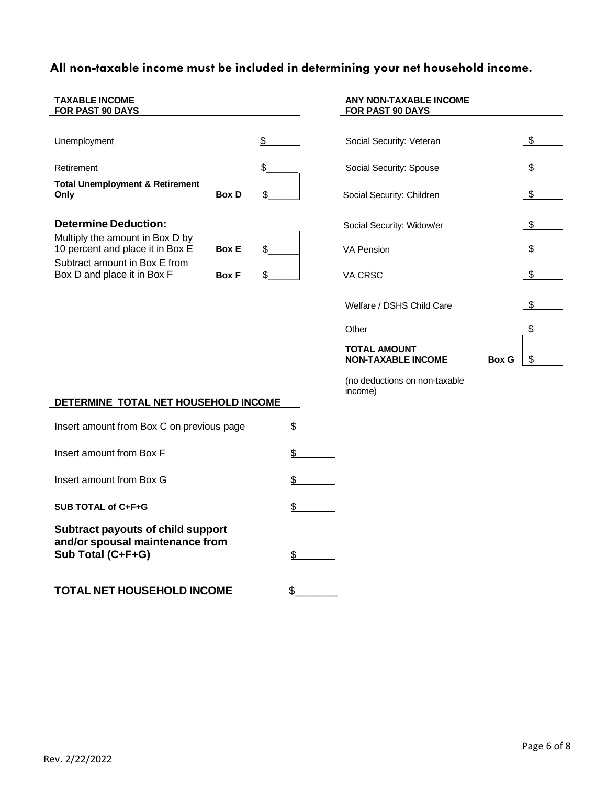# **All non-taxable income must be included in determining your net household income.**

| <b>TAXABLE INCOME</b><br>FOR PAST 90 DAYS                           |              |    | ANY NON-TAXABLE INCOME<br>FOR PAST 90 DAYS                       |     |
|---------------------------------------------------------------------|--------------|----|------------------------------------------------------------------|-----|
| Unemployment                                                        |              | \$ | Social Security: Veteran                                         |     |
| Retirement                                                          |              | \$ | Social Security: Spouse                                          |     |
| <b>Total Unemployment &amp; Retirement</b><br>Only                  | <b>Box D</b> | S  | Social Security: Children                                        |     |
| <b>Determine Deduction:</b>                                         |              |    | Social Security: Widow/er                                        | \$. |
| Multiply the amount in Box D by<br>10 percent and place it in Box E | <b>Box E</b> | \$ | <b>VA Pension</b>                                                | \$  |
| Subtract amount in Box E from<br>Box D and place it in Box F        | <b>Box F</b> |    | VA CRSC                                                          |     |
|                                                                     |              |    | Welfare / DSHS Child Care                                        |     |
|                                                                     |              |    | Other                                                            | \$  |
|                                                                     |              |    | <b>TOTAL AMOUNT</b><br><b>NON-TAXABLE INCOME</b><br><b>Box G</b> | \$  |
|                                                                     |              |    | (no deductions on non-taxable<br>income)                         |     |
| DETERMINE TOTAL NET HOUSEHOLD INCOME                                |              |    |                                                                  |     |
| Insert amount from Box C on previous page                           |              | \$ |                                                                  |     |

Insert amount from Box F  $\frac{1}{2}$ Insert amount from Box G  $\qquad \qquad$ SUB TOTAL of C+F+G  $\frac{1}{2}$ **Subtract payouts of child support and/or spousal maintenance from Sub Total (C+F+G)** \$ **TOTAL NET HOUSEHOLD INCOME** \$\_\_\_\_\_\_\_

Rev. 2/22/2022